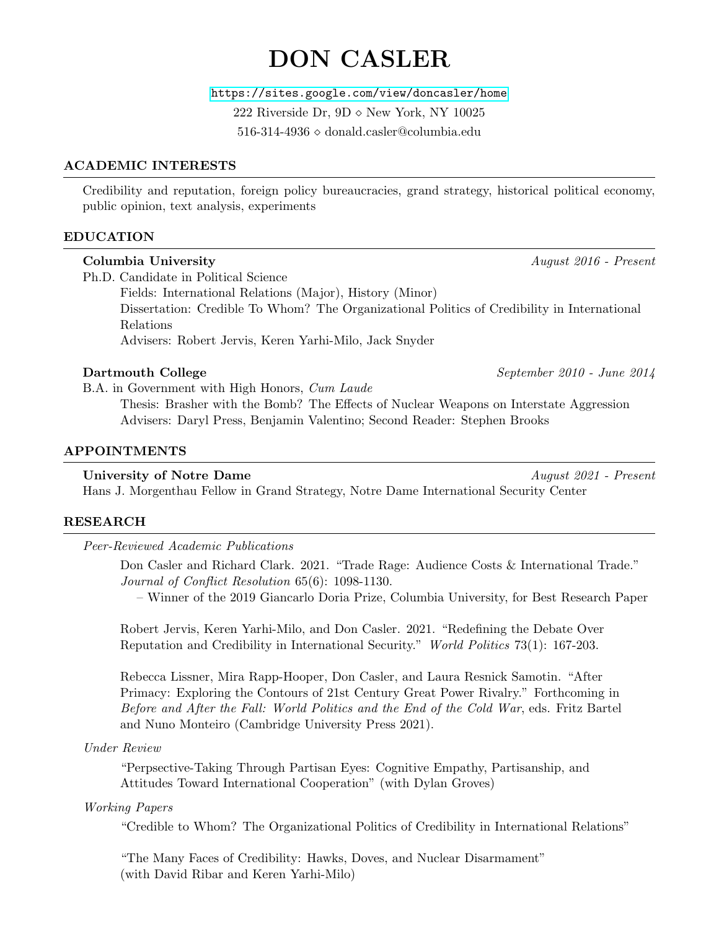# DON CASLER

<https://sites.google.com/view/doncasler/home>

222 Riverside Dr,  $9D \diamond$  New York, NY 10025

 $516-314-4936 \diamond$  donald.casler@columbia.edu

# ACADEMIC INTERESTS

Credibility and reputation, foreign policy bureaucracies, grand strategy, historical political economy, public opinion, text analysis, experiments

# EDUCATION

#### Columbia University August 2016 - Present

Ph.D. Candidate in Political Science Fields: International Relations (Major), History (Minor) Dissertation: Credible To Whom? The Organizational Politics of Credibility in International Relations Advisers: Robert Jervis, Keren Yarhi-Milo, Jack Snyder

# Dartmouth College September 2010 - June 2014

B.A. in Government with High Honors, Cum Laude

Thesis: Brasher with the Bomb? The Effects of Nuclear Weapons on Interstate Aggression Advisers: Daryl Press, Benjamin Valentino; Second Reader: Stephen Brooks

# APPOINTMENTS

#### University of Notre Dame August 2021 - Present

Hans J. Morgenthau Fellow in Grand Strategy, Notre Dame International Security Center

# RESEARCH

Peer-Reviewed Academic Publications

Don Casler and Richard Clark. 2021. "Trade Rage: Audience Costs & International Trade." Journal of Conflict Resolution 65(6): 1098-1130.

– Winner of the 2019 Giancarlo Doria Prize, Columbia University, for Best Research Paper

Robert Jervis, Keren Yarhi-Milo, and Don Casler. 2021. "Redefining the Debate Over Reputation and Credibility in International Security." World Politics 73(1): 167-203.

Rebecca Lissner, Mira Rapp-Hooper, Don Casler, and Laura Resnick Samotin. "After Primacy: Exploring the Contours of 21st Century Great Power Rivalry." Forthcoming in Before and After the Fall: World Politics and the End of the Cold War, eds. Fritz Bartel and Nuno Monteiro (Cambridge University Press 2021).

# Under Review

"Perpsective-Taking Through Partisan Eyes: Cognitive Empathy, Partisanship, and Attitudes Toward International Cooperation" (with Dylan Groves)

# Working Papers

"Credible to Whom? The Organizational Politics of Credibility in International Relations"

"The Many Faces of Credibility: Hawks, Doves, and Nuclear Disarmament" (with David Ribar and Keren Yarhi-Milo)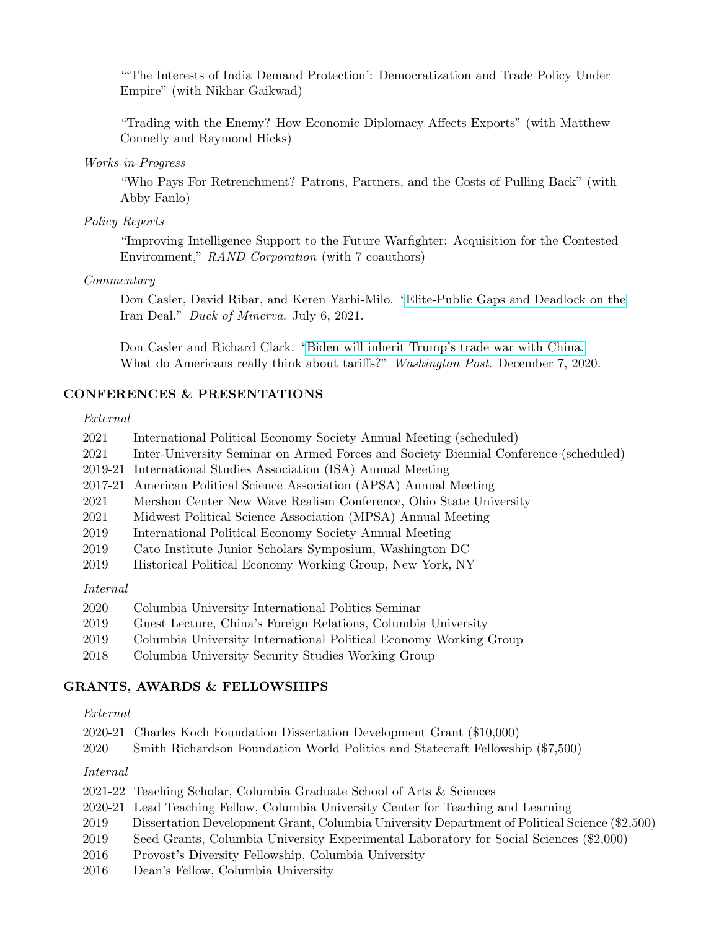"'The Interests of India Demand Protection': Democratization and Trade Policy Under Empire" (with Nikhar Gaikwad)

"Trading with the Enemy? How Economic Diplomacy Affects Exports" (with Matthew Connelly and Raymond Hicks)

#### Works-in-Progress

"Who Pays For Retrenchment? Patrons, Partners, and the Costs of Pulling Back" (with Abby Fanlo)

#### Policy Reports

"Improving Intelligence Support to the Future Warfighter: Acquisition for the Contested Environment," RAND Corporation (with 7 coauthors)

#### Commentary

Don Casler, David Ribar, and Keren Yarhi-Milo. ["Elite-Public Gaps and Deadlock on the](https://www.duckofminerva.com/2021/07/elite-public-gaps-and-deadlock-on-the-iran-deal.html) Iran Deal." Duck of Minerva. July 6, 2021.

Don Casler and Richard Clark. ["Biden will inherit Trump's trade war with China.](https://www.washingtonpost.com/politics/2020/12/07/biden-will-inherit-trumps-trade-war-with-china-what-do-americans-really-think-about-tariffs/) What do Americans really think about tariffs?" Washington Post. December 7, 2020.

#### CONFERENCES & PRESENTATIONS

# External

| 2021     | International Political Economy Society Annual Meeting (scheduled)                   |
|----------|--------------------------------------------------------------------------------------|
| 2021     | Inter-University Seminar on Armed Forces and Society Biennial Conference (scheduled) |
| 2019-21  | International Studies Association (ISA) Annual Meeting                               |
| 2017-21  | American Political Science Association (APSA) Annual Meeting                         |
| 2021     | Mershon Center New Wave Realism Conference, Ohio State University                    |
| 2021     | Midwest Political Science Association (MPSA) Annual Meeting                          |
| 2019     | International Political Economy Society Annual Meeting                               |
| 2019     | Cato Institute Junior Scholars Symposium, Washington DC                              |
| 2019     | Historical Political Economy Working Group, New York, NY                             |
| Internal |                                                                                      |
| 2020     | Columbia University International Politics Seminar                                   |

- 2019 Guest Lecture, China's Foreign Relations, Columbia University
- 2019 Columbia University International Political Economy Working Group
- 2018 Columbia University Security Studies Working Group

# GRANTS, AWARDS & FELLOWSHIPS

# External

|          | 2020-21 Charles Koch Foundation Dissertation Development Grant (\$10,000)      |
|----------|--------------------------------------------------------------------------------|
| 2020     | Smith Richardson Foundation World Politics and Statecraft Fellowship (\$7,500) |
| Internal |                                                                                |

|  |  |  |  | 2021-22 Teaching Scholar, Columbia Graduate School of Arts & Sciences |
|--|--|--|--|-----------------------------------------------------------------------|
|--|--|--|--|-----------------------------------------------------------------------|

- 2020-21 Lead Teaching Fellow, Columbia University Center for Teaching and Learning
- 2019 Dissertation Development Grant, Columbia University Department of Political Science (\$2,500)
- 2019 Seed Grants, Columbia University Experimental Laboratory for Social Sciences (\$2,000)
- 2016 Provost's Diversity Fellowship, Columbia University
- 2016 Dean's Fellow, Columbia University